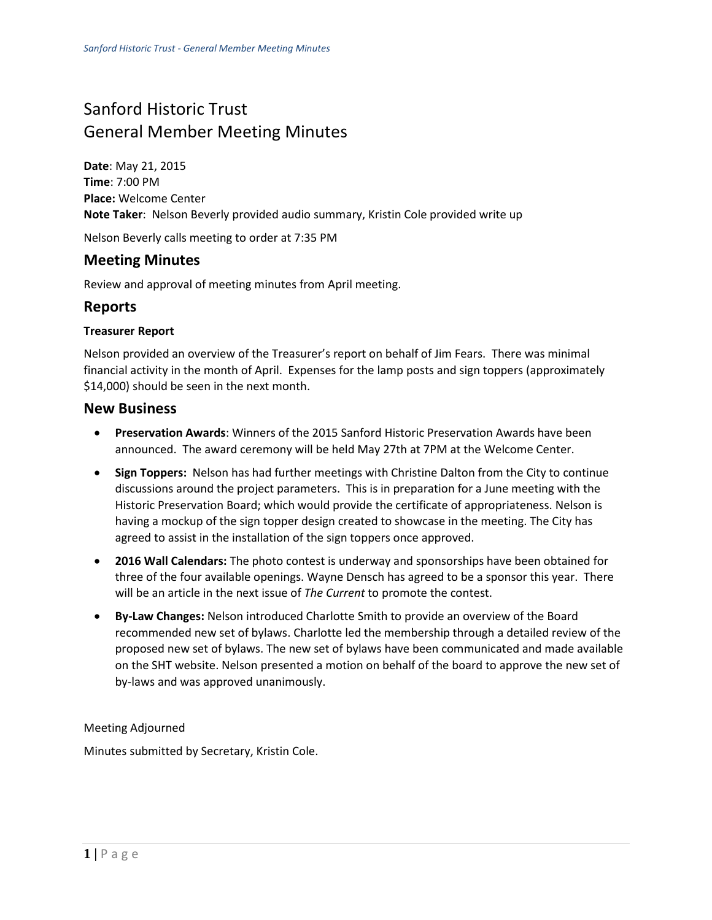# Sanford Historic Trust General Member Meeting Minutes

**Date**: May 21, 2015 **Time**: 7:00 PM **Place:** Welcome Center **Note Taker**: Nelson Beverly provided audio summary, Kristin Cole provided write up

Nelson Beverly calls meeting to order at 7:35 PM

## **Meeting Minutes**

Review and approval of meeting minutes from April meeting.

### **Reports**

#### **Treasurer Report**

Nelson provided an overview of the Treasurer's report on behalf of Jim Fears. There was minimal financial activity in the month of April. Expenses for the lamp posts and sign toppers (approximately \$14,000) should be seen in the next month.

#### **New Business**

- **Preservation Awards**: Winners of the 2015 Sanford Historic Preservation Awards have been announced. The award ceremony will be held May 27th at 7PM at the Welcome Center.
- **Sign Toppers:** Nelson has had further meetings with Christine Dalton from the City to continue discussions around the project parameters. This is in preparation for a June meeting with the Historic Preservation Board; which would provide the certificate of appropriateness. Nelson is having a mockup of the sign topper design created to showcase in the meeting. The City has agreed to assist in the installation of the sign toppers once approved.
- **2016 Wall Calendars:** The photo contest is underway and sponsorships have been obtained for three of the four available openings. Wayne Densch has agreed to be a sponsor this year. There will be an article in the next issue of *The Current* to promote the contest.
- **By-Law Changes:** Nelson introduced Charlotte Smith to provide an overview of the Board recommended new set of bylaws. Charlotte led the membership through a detailed review of the proposed new set of bylaws. The new set of bylaws have been communicated and made available on the SHT website. Nelson presented a motion on behalf of the board to approve the new set of by-laws and was approved unanimously.

Meeting Adjourned

Minutes submitted by Secretary, Kristin Cole.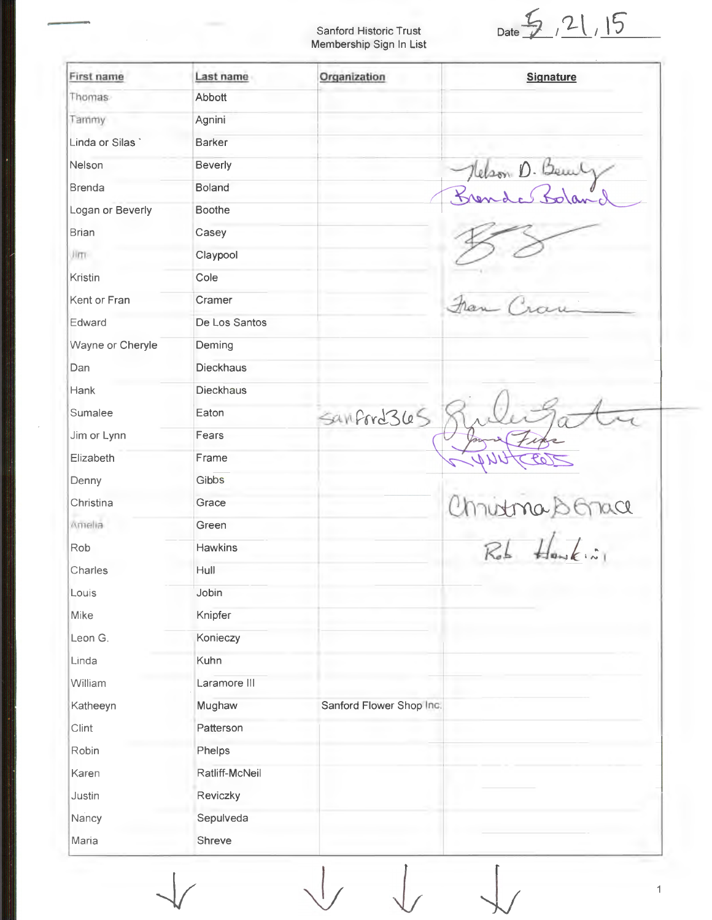Sanford Historic Trust Membership Sign In List

Date  $\frac{5}{2}$ , 21, 15

 $\overline{1}$ 

| First name       | Last name        | Organization             | <b>Signature</b> |
|------------------|------------------|--------------------------|------------------|
| Thomas           | Abbott           |                          |                  |
| Tammy            | Agnini           |                          |                  |
| Linda or Silas   | <b>Barker</b>    |                          |                  |
| Nelson           | Beverly          |                          | Clean D. Bem     |
| <b>Brenda</b>    | <b>Boland</b>    |                          |                  |
| Logan or Beverly | <b>Boothe</b>    |                          |                  |
| <b>Brian</b>     | Casey            |                          |                  |
| Jim.             | Claypool         |                          |                  |
| Kristin          | Cole             |                          |                  |
| Kent or Fran     | Cramer           |                          |                  |
| Edward           | De Los Santos    |                          |                  |
| Wayne or Cheryle | Deming           |                          |                  |
| Dan              | <b>Dieckhaus</b> |                          |                  |
| Hank             | <b>Dieckhaus</b> |                          |                  |
| Sumalee          | Eaton            | Sanford 365              |                  |
| Jim or Lynn      | Fears            |                          |                  |
| Elizabeth        | Frame            |                          |                  |
| Denny            | Gibbs            |                          |                  |
| Christina        | Grace            |                          | $\alpha$<br>UN   |
| Amelia           | Green            |                          |                  |
| Rob              | <b>Hawkins</b>   |                          | $\frac{1}{2}$    |
| Charles          | Hull             |                          |                  |
| Louis            | Jobin            |                          |                  |
| Mike             | Knipfer          |                          |                  |
| Leon G.          | Konieczy         |                          |                  |
| Linda            | Kuhn             |                          |                  |
| William          | Laramore III     |                          |                  |
| Katheeyn         | Mughaw           | Sanford Flower Shop Inc. |                  |
| Clint            | Patterson        |                          |                  |
| Robin            | Phelps           |                          |                  |
| Karen            | Ratliff-McNeil   |                          |                  |
| Justin           | Reviczky         |                          |                  |
| Nancy            | Sepulveda        |                          |                  |
| Maria            | Shreve           |                          |                  |